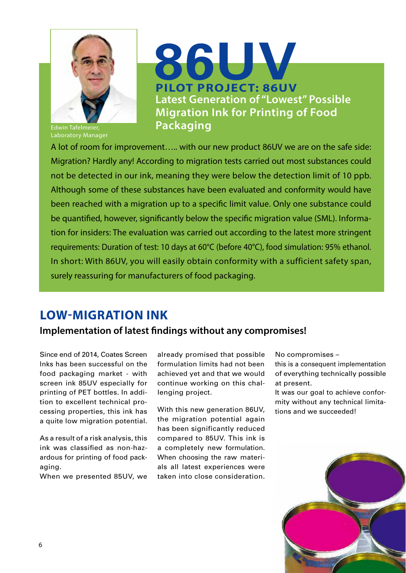

Laboratory Manager

# **PILOT PROJECT: 86UV Latest Generation of "Lowest" Possible Migration Ink for Printing of Food Packaging 86UV**

A lot of room for improvement….. with our new product 86UV we are on the safe side: Migration? Hardly any! According to migration tests carried out most substances could not be detected in our ink, meaning they were below the detection limit of 10 ppb. Although some of these substances have been evaluated and conformity would have been reached with a migration up to a specific limit value. Only one substance could be quantified, however, significantly below the specific migration value (SML). Information for insiders: The evaluation was carried out according to the latest more stringent requirements: Duration of test: 10 days at 60°C (before 40°C), food simulation: 95% ethanol. In short: With 86UV, you will easily obtain conformity with a sufficient safety span, surely reassuring for manufacturers of food packaging.

### **LOW-MIGRATION INK**

#### **Implementation of latest findings without any compromises!**

Since end of 2014, Coates Screen Inks has been successful on the food packaging market - with screen ink 85UV especially for printing of PET bottles. In addition to excellent technical processing properties, this ink has a quite low migration potential.

As a result of a risk analysis, this ink was classified as non-hazardous for printing of food packaging.

When we presented 85UV, we

already promised that possible formulation limits had not been achieved yet and that we would continue working on this challenging project.

With this new generation 86UV, the migration potential again has been significantly reduced compared to 85UV. This ink is a completely new formulation. When choosing the raw materials all latest experiences were taken into close consideration.

No compromises –

this is a consequent implementation of everything technically possible at present.

It was our goal to achieve conformity without any technical limitations and we succeeded!